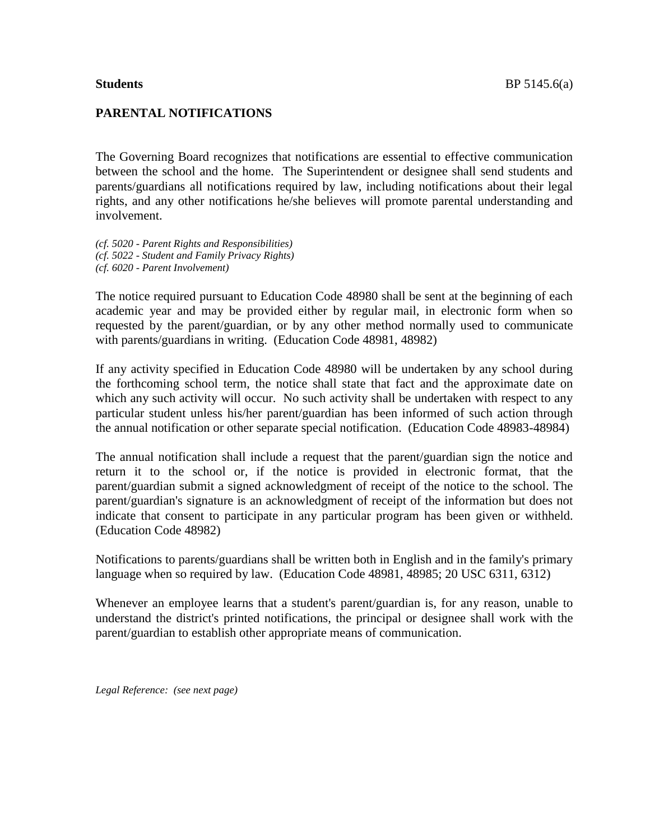#### **PARENTAL NOTIFICATIONS**

The Governing Board recognizes that notifications are essential to effective communication between the school and the home. The Superintendent or designee shall send students and parents/guardians all notifications required by law, including notifications about their legal rights, and any other notifications he/she believes will promote parental understanding and involvement.

*(cf. 5020 - Parent Rights and Responsibilities) (cf. 5022 - Student and Family Privacy Rights) (cf. 6020 - Parent Involvement)*

The notice required pursuant to Education Code 48980 shall be sent at the beginning of each academic year and may be provided either by regular mail, in electronic form when so requested by the parent/guardian, or by any other method normally used to communicate with parents/guardians in writing. (Education Code 48981, 48982)

If any activity specified in Education Code 48980 will be undertaken by any school during the forthcoming school term, the notice shall state that fact and the approximate date on which any such activity will occur. No such activity shall be undertaken with respect to any particular student unless his/her parent/guardian has been informed of such action through the annual notification or other separate special notification. (Education Code 48983-48984)

The annual notification shall include a request that the parent/guardian sign the notice and return it to the school or, if the notice is provided in electronic format, that the parent/guardian submit a signed acknowledgment of receipt of the notice to the school. The parent/guardian's signature is an acknowledgment of receipt of the information but does not indicate that consent to participate in any particular program has been given or withheld. (Education Code 48982)

Notifications to parents/guardians shall be written both in English and in the family's primary language when so required by law. (Education Code 48981, 48985; 20 USC 6311, 6312)

Whenever an employee learns that a student's parent/guardian is, for any reason, unable to understand the district's printed notifications, the principal or designee shall work with the parent/guardian to establish other appropriate means of communication.

*Legal Reference: (see next page)*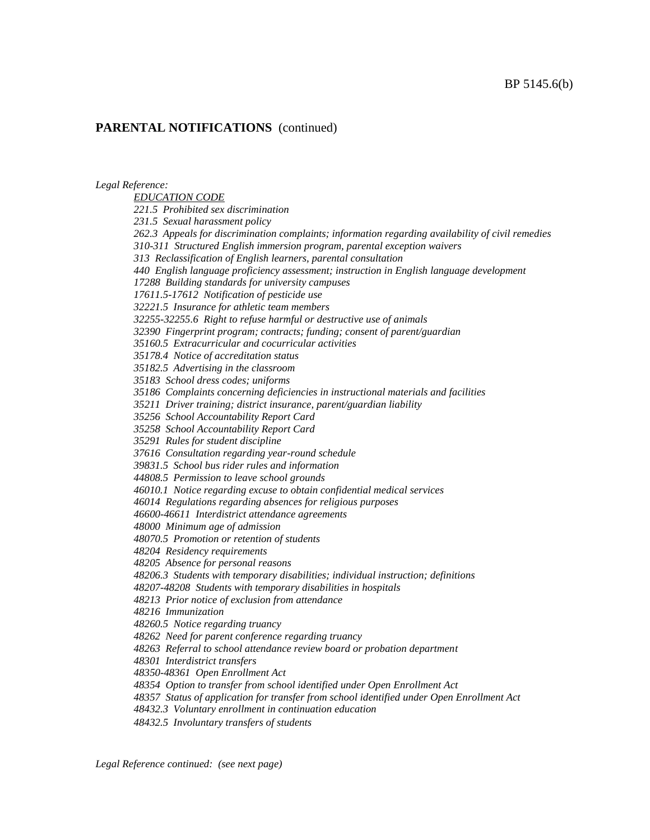*Legal Reference:*

*EDUCATION CODE 221.5 Prohibited sex discrimination 231.5 Sexual harassment policy 262.3 Appeals for discrimination complaints; information regarding availability of civil remedies 310-311 Structured English immersion program, parental exception waivers 313 Reclassification of English learners, parental consultation 440 English language proficiency assessment; instruction in English language development 17288 Building standards for university campuses 17611.5-17612 Notification of pesticide use 32221.5 Insurance for athletic team members 32255-32255.6 Right to refuse harmful or destructive use of animals 32390 Fingerprint program; contracts; funding; consent of parent/guardian 35160.5 Extracurricular and cocurricular activities 35178.4 Notice of accreditation status 35182.5 Advertising in the classroom 35183 School dress codes; uniforms 35186 Complaints concerning deficiencies in instructional materials and facilities 35211 Driver training; district insurance, parent/guardian liability 35256 School Accountability Report Card 35258 School Accountability Report Card 35291 Rules for student discipline 37616 Consultation regarding year-round schedule 39831.5 School bus rider rules and information 44808.5 Permission to leave school grounds 46010.1 Notice regarding excuse to obtain confidential medical services 46014 Regulations regarding absences for religious purposes 46600-46611 Interdistrict attendance agreements 48000 Minimum age of admission 48070.5 Promotion or retention of students 48204 Residency requirements 48205 Absence for personal reasons 48206.3 Students with temporary disabilities; individual instruction; definitions 48207-48208 Students with temporary disabilities in hospitals 48213 Prior notice of exclusion from attendance 48216 Immunization 48260.5 Notice regarding truancy 48262 Need for parent conference regarding truancy 48263 Referral to school attendance review board or probation department 48301 Interdistrict transfers 48350-48361 Open Enrollment Act 48354 Option to transfer from school identified under Open Enrollment Act 48357 Status of application for transfer from school identified under Open Enrollment Act*

*48432.3 Voluntary enrollment in continuation education*

*48432.5 Involuntary transfers of students*

*Legal Reference continued: (see next page)*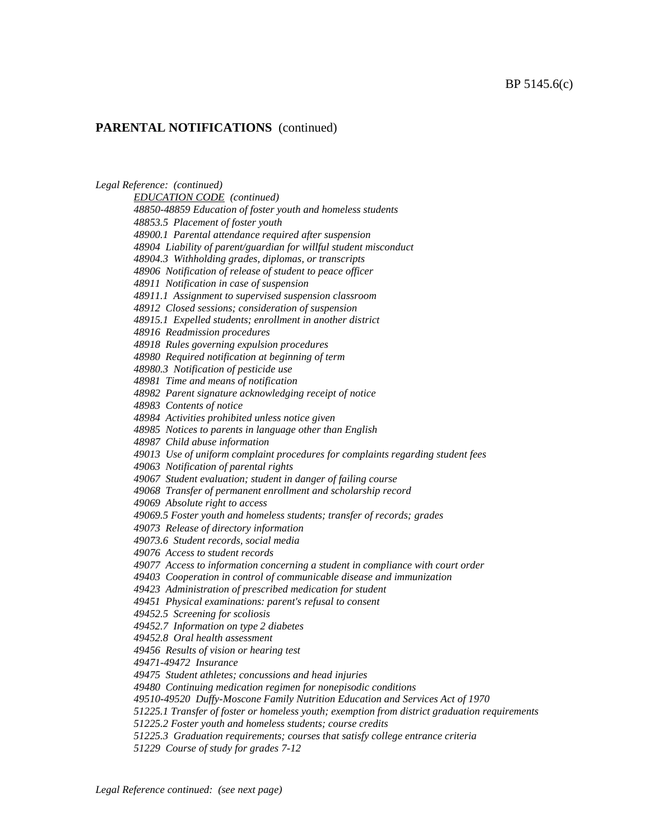*Legal Reference: (continued) EDUCATION CODE (continued) 48850-48859 Education of foster youth and homeless students 48853.5 Placement of foster youth 48900.1 Parental attendance required after suspension 48904 Liability of parent/guardian for willful student misconduct 48904.3 Withholding grades, diplomas, or transcripts 48906 Notification of release of student to peace officer 48911 Notification in case of suspension 48911.1 Assignment to supervised suspension classroom 48912 Closed sessions; consideration of suspension 48915.1 Expelled students; enrollment in another district 48916 Readmission procedures 48918 Rules governing expulsion procedures 48980 Required notification at beginning of term 48980.3 Notification of pesticide use 48981 Time and means of notification 48982 Parent signature acknowledging receipt of notice 48983 Contents of notice 48984 Activities prohibited unless notice given 48985 Notices to parents in language other than English 48987 Child abuse information 49013 Use of uniform complaint procedures for complaints regarding student fees 49063 Notification of parental rights 49067 Student evaluation; student in danger of failing course 49068 Transfer of permanent enrollment and scholarship record 49069 Absolute right to access 49069.5 Foster youth and homeless students; transfer of records; grades 49073 Release of directory information 49073.6 Student records, social media 49076 Access to student records 49077 Access to information concerning a student in compliance with court order 49403 Cooperation in control of communicable disease and immunization 49423 Administration of prescribed medication for student 49451 Physical examinations: parent's refusal to consent 49452.5 Screening for scoliosis 49452.7 Information on type 2 diabetes 49452.8 Oral health assessment 49456 Results of vision or hearing test 49471-49472 Insurance 49475 Student athletes; concussions and head injuries 49480 Continuing medication regimen for nonepisodic conditions 49510-49520 Duffy-Moscone Family Nutrition Education and Services Act of 1970 51225.1 Transfer of foster or homeless youth; exemption from district graduation requirements 51225.2 Foster youth and homeless students; course credits 51225.3 Graduation requirements; courses that satisfy college entrance criteria 51229 Course of study for grades 7-12*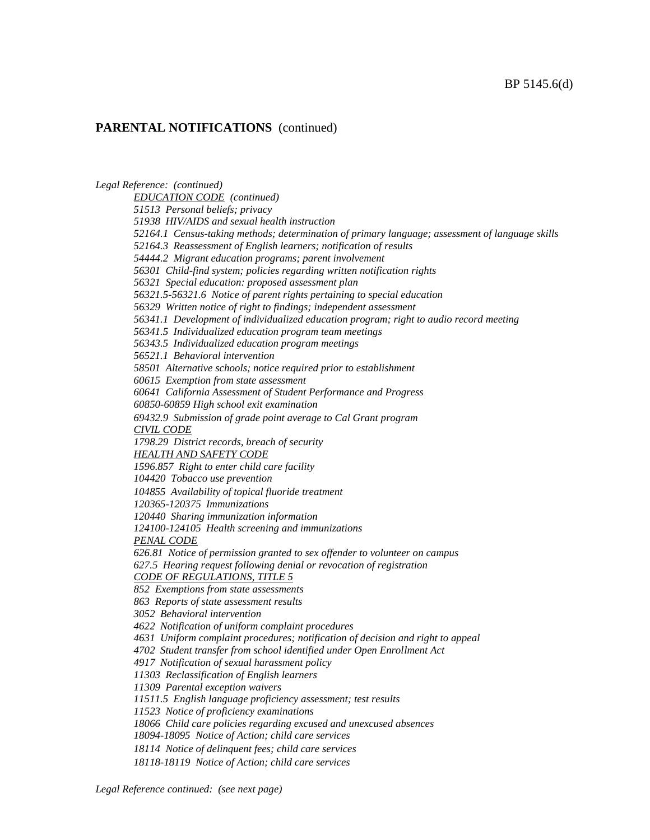*Legal Reference: (continued) EDUCATION CODE (continued) 51513 Personal beliefs; privacy 51938 HIV/AIDS and sexual health instruction 52164.1 Census-taking methods; determination of primary language; assessment of language skills 52164.3 Reassessment of English learners; notification of results 54444.2 Migrant education programs; parent involvement 56301 Child-find system; policies regarding written notification rights 56321 Special education: proposed assessment plan 56321.5-56321.6 Notice of parent rights pertaining to special education 56329 Written notice of right to findings; independent assessment 56341.1 Development of individualized education program; right to audio record meeting 56341.5 Individualized education program team meetings 56343.5 Individualized education program meetings 56521.1 Behavioral intervention 58501 Alternative schools; notice required prior to establishment 60615 Exemption from state assessment 60641 California Assessment of Student Performance and Progress 60850-60859 High school exit examination 69432.9 Submission of grade point average to Cal Grant program CIVIL CODE 1798.29 District records, breach of security HEALTH AND SAFETY CODE 1596.857 Right to enter child care facility 104420 Tobacco use prevention 104855 Availability of topical fluoride treatment 120365-120375 Immunizations 120440 Sharing immunization information 124100-124105 Health screening and immunizations PENAL CODE 626.81 Notice of permission granted to sex offender to volunteer on campus 627.5 Hearing request following denial or revocation of registration CODE OF REGULATIONS, TITLE 5 852 Exemptions from state assessments 863 Reports of state assessment results 3052 Behavioral intervention 4622 Notification of uniform complaint procedures 4631 Uniform complaint procedures; notification of decision and right to appeal 4702 Student transfer from school identified under Open Enrollment Act 4917 Notification of sexual harassment policy 11303 Reclassification of English learners 11309 Parental exception waivers 11511.5 English language proficiency assessment; test results 11523 Notice of proficiency examinations 18066 Child care policies regarding excused and unexcused absences 18094-18095 Notice of Action; child care services 18114 Notice of delinquent fees; child care services 18118-18119 Notice of Action; child care services*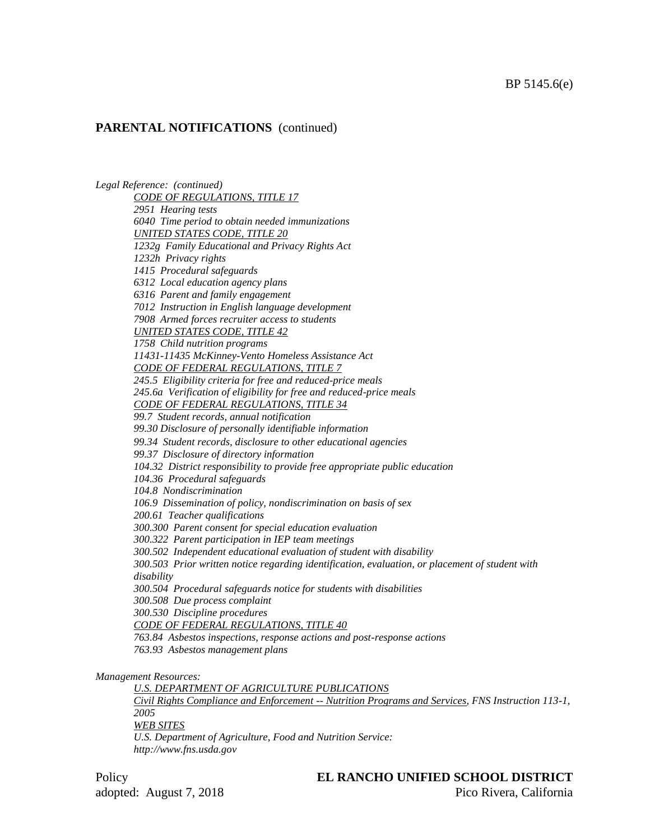*Legal Reference: (continued) CODE OF REGULATIONS, TITLE 17 2951 Hearing tests 6040 Time period to obtain needed immunizations UNITED STATES CODE, TITLE 20 1232g Family Educational and Privacy Rights Act 1232h Privacy rights 1415 Procedural safeguards 6312 Local education agency plans 6316 Parent and family engagement 7012 Instruction in English language development 7908 Armed forces recruiter access to students UNITED STATES CODE, TITLE 42 1758 Child nutrition programs 11431-11435 McKinney-Vento Homeless Assistance Act CODE OF FEDERAL REGULATIONS, TITLE 7 245.5 Eligibility criteria for free and reduced-price meals 245.6a Verification of eligibility for free and reduced-price meals CODE OF FEDERAL REGULATIONS, TITLE 34 99.7 Student records, annual notification 99.30 Disclosure of personally identifiable information 99.34 Student records, disclosure to other educational agencies 99.37 Disclosure of directory information 104.32 District responsibility to provide free appropriate public education 104.36 Procedural safeguards 104.8 Nondiscrimination 106.9 Dissemination of policy, nondiscrimination on basis of sex 200.61 Teacher qualifications 300.300 Parent consent for special education evaluation 300.322 Parent participation in IEP team meetings 300.502 Independent educational evaluation of student with disability 300.503 Prior written notice regarding identification, evaluation, or placement of student with disability 300.504 Procedural safeguards notice for students with disabilities 300.508 Due process complaint 300.530 Discipline procedures CODE OF FEDERAL REGULATIONS, TITLE 40 763.84 Asbestos inspections, response actions and post-response actions 763.93 Asbestos management plans Management Resources:*

*U.S. DEPARTMENT OF AGRICULTURE PUBLICATIONS Civil Rights Compliance and Enforcement -- Nutrition Programs and Services, FNS Instruction 113-1, 2005 WEB SITES U.S. Department of Agriculture, Food and Nutrition Service: http://www.fns.usda.gov*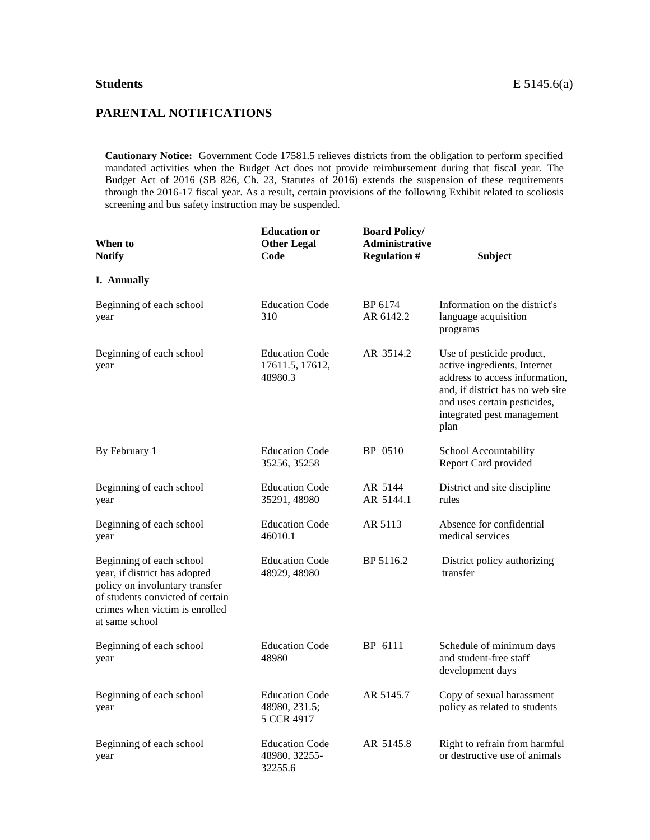#### **PARENTAL NOTIFICATIONS**

**Cautionary Notice:** Government Code 17581.5 relieves districts from the obligation to perform specified mandated activities when the Budget Act does not provide reimbursement during that fiscal year. The Budget Act of 2016 (SB 826, Ch. 23, Statutes of 2016) extends the suspension of these requirements through the 2016-17 fiscal year. As a result, certain provisions of the following Exhibit related to scoliosis screening and bus safety instruction may be suspended.

| When to<br><b>Notify</b>                                                                                                                                                            | <b>Education or</b><br><b>Other Legal</b><br>Code    | <b>Board Policy/</b><br><b>Administrative</b><br><b>Regulation #</b> | <b>Subject</b>                                                                                                                                                                                        |
|-------------------------------------------------------------------------------------------------------------------------------------------------------------------------------------|------------------------------------------------------|----------------------------------------------------------------------|-------------------------------------------------------------------------------------------------------------------------------------------------------------------------------------------------------|
| I. Annually                                                                                                                                                                         |                                                      |                                                                      |                                                                                                                                                                                                       |
| Beginning of each school<br>year                                                                                                                                                    | <b>Education Code</b><br>310                         | BP 6174<br>AR 6142.2                                                 | Information on the district's<br>language acquisition<br>programs                                                                                                                                     |
| Beginning of each school<br>year                                                                                                                                                    | <b>Education Code</b><br>17611.5, 17612,<br>48980.3  | AR 3514.2                                                            | Use of pesticide product,<br>active ingredients, Internet<br>address to access information,<br>and, if district has no web site<br>and uses certain pesticides,<br>integrated pest management<br>plan |
| By February 1                                                                                                                                                                       | <b>Education Code</b><br>35256, 35258                | BP 0510                                                              | School Accountability<br>Report Card provided                                                                                                                                                         |
| Beginning of each school<br>year                                                                                                                                                    | <b>Education Code</b><br>35291, 48980                | AR 5144<br>AR 5144.1                                                 | District and site discipline<br>rules                                                                                                                                                                 |
| Beginning of each school<br>year                                                                                                                                                    | <b>Education Code</b><br>46010.1                     | AR 5113                                                              | Absence for confidential<br>medical services                                                                                                                                                          |
| Beginning of each school<br>year, if district has adopted<br>policy on involuntary transfer<br>of students convicted of certain<br>crimes when victim is enrolled<br>at same school | <b>Education Code</b><br>48929, 48980                | BP 5116.2                                                            | District policy authorizing<br>transfer                                                                                                                                                               |
| Beginning of each school<br>year                                                                                                                                                    | <b>Education Code</b><br>48980                       | BP 6111                                                              | Schedule of minimum days<br>and student-free staff<br>development days                                                                                                                                |
| Beginning of each school<br>year                                                                                                                                                    | <b>Education Code</b><br>48980, 231.5;<br>5 CCR 4917 | AR 5145.7                                                            | Copy of sexual harassment<br>policy as related to students                                                                                                                                            |
| Beginning of each school<br>year                                                                                                                                                    | <b>Education Code</b><br>48980, 32255-<br>32255.6    | AR 5145.8                                                            | Right to refrain from harmful<br>or destructive use of animals                                                                                                                                        |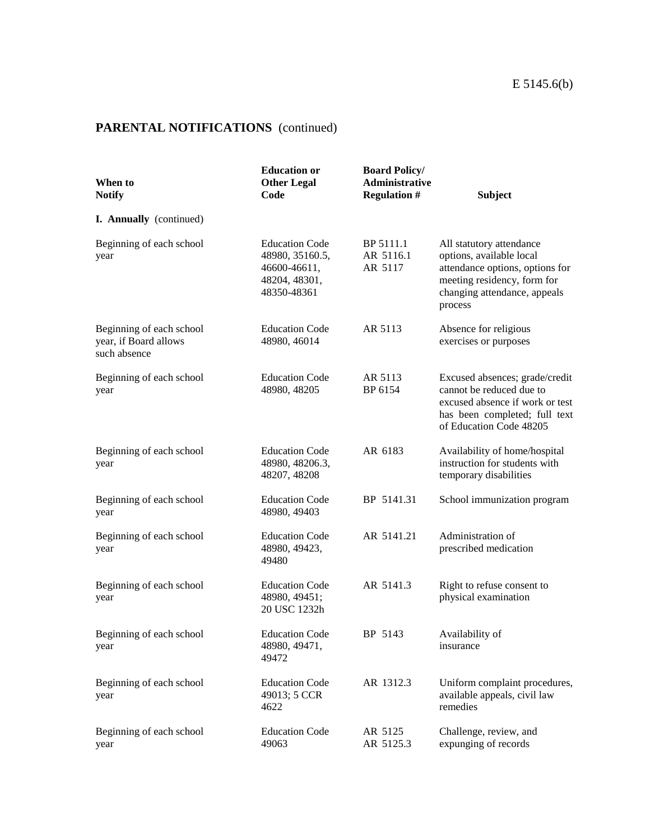| When to<br><b>Notify</b>                                          | <b>Education or</b><br><b>Other Legal</b><br>Code                                        | <b>Board Policy/</b><br>Administrative<br><b>Regulation #</b> | <b>Subject</b>                                                                                                                                                    |
|-------------------------------------------------------------------|------------------------------------------------------------------------------------------|---------------------------------------------------------------|-------------------------------------------------------------------------------------------------------------------------------------------------------------------|
| I. Annually (continued)                                           |                                                                                          |                                                               |                                                                                                                                                                   |
| Beginning of each school<br>year                                  | <b>Education Code</b><br>48980, 35160.5,<br>46600-46611,<br>48204, 48301,<br>48350-48361 | BP 5111.1<br>AR 5116.1<br>AR 5117                             | All statutory attendance<br>options, available local<br>attendance options, options for<br>meeting residency, form for<br>changing attendance, appeals<br>process |
| Beginning of each school<br>year, if Board allows<br>such absence | <b>Education Code</b><br>48980, 46014                                                    | AR 5113                                                       | Absence for religious<br>exercises or purposes                                                                                                                    |
| Beginning of each school<br>year                                  | <b>Education Code</b><br>48980, 48205                                                    | AR 5113<br>BP 6154                                            | Excused absences; grade/credit<br>cannot be reduced due to<br>excused absence if work or test<br>has been completed; full text<br>of Education Code 48205         |
| Beginning of each school<br>year                                  | <b>Education Code</b><br>48980, 48206.3,<br>48207, 48208                                 | AR 6183                                                       | Availability of home/hospital<br>instruction for students with<br>temporary disabilities                                                                          |
| Beginning of each school<br>year                                  | <b>Education Code</b><br>48980, 49403                                                    | BP 5141.31                                                    | School immunization program                                                                                                                                       |
| Beginning of each school<br>year                                  | <b>Education Code</b><br>48980, 49423,<br>49480                                          | AR 5141.21                                                    | Administration of<br>prescribed medication                                                                                                                        |
| Beginning of each school<br>year                                  | <b>Education Code</b><br>48980, 49451;<br>20 USC 1232h                                   | AR 5141.3                                                     | Right to refuse consent to<br>physical examination                                                                                                                |
| Beginning of each school<br>year                                  | <b>Education Code</b><br>48980, 49471,<br>49472                                          | BP 5143                                                       | Availability of<br>insurance                                                                                                                                      |
| Beginning of each school<br>year                                  | <b>Education Code</b><br>49013; 5 CCR<br>4622                                            | AR 1312.3                                                     | Uniform complaint procedures,<br>available appeals, civil law<br>remedies                                                                                         |
| Beginning of each school<br>year                                  | <b>Education Code</b><br>49063                                                           | AR 5125<br>AR 5125.3                                          | Challenge, review, and<br>expunging of records                                                                                                                    |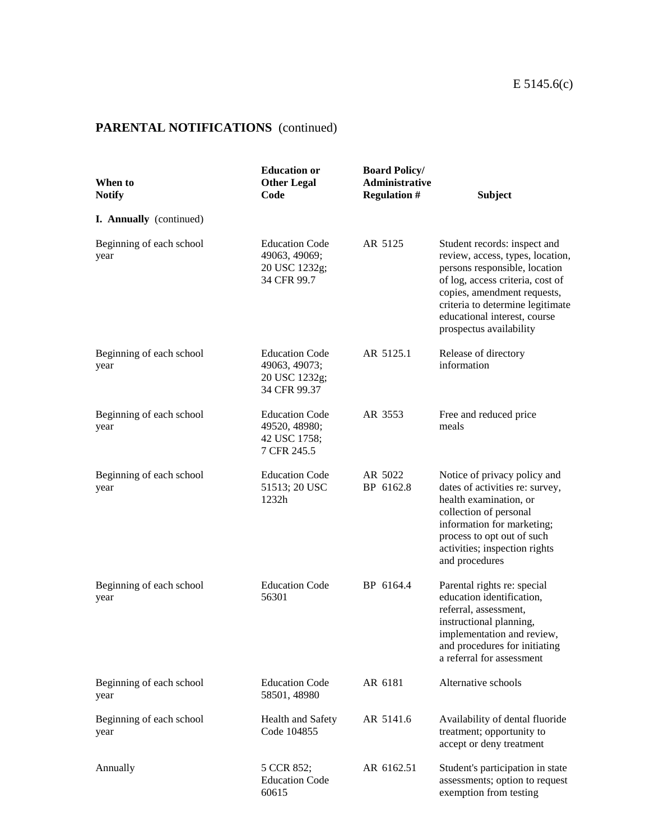| When to<br><b>Notify</b>         | <b>Education or</b><br><b>Other Legal</b><br>Code                       | <b>Board Policy/</b><br>Administrative<br><b>Regulation #</b> | <b>Subject</b>                                                                                                                                                                                                                                                      |
|----------------------------------|-------------------------------------------------------------------------|---------------------------------------------------------------|---------------------------------------------------------------------------------------------------------------------------------------------------------------------------------------------------------------------------------------------------------------------|
| I. Annually (continued)          |                                                                         |                                                               |                                                                                                                                                                                                                                                                     |
| Beginning of each school<br>year | <b>Education Code</b><br>49063, 49069;<br>20 USC 1232g;<br>34 CFR 99.7  | AR 5125                                                       | Student records: inspect and<br>review, access, types, location,<br>persons responsible, location<br>of log, access criteria, cost of<br>copies, amendment requests,<br>criteria to determine legitimate<br>educational interest, course<br>prospectus availability |
| Beginning of each school<br>year | <b>Education Code</b><br>49063, 49073;<br>20 USC 1232g;<br>34 CFR 99.37 | AR 5125.1                                                     | Release of directory<br>information                                                                                                                                                                                                                                 |
| Beginning of each school<br>year | <b>Education Code</b><br>49520, 48980;<br>42 USC 1758;<br>7 CFR 245.5   | AR 3553                                                       | Free and reduced price<br>meals                                                                                                                                                                                                                                     |
| Beginning of each school<br>year | <b>Education Code</b><br>51513; 20 USC<br>1232h                         | AR 5022<br>BP 6162.8                                          | Notice of privacy policy and<br>dates of activities re: survey,<br>health examination, or<br>collection of personal<br>information for marketing;<br>process to opt out of such<br>activities; inspection rights<br>and procedures                                  |
| Beginning of each school<br>year | <b>Education Code</b><br>56301                                          | BP 6164.4                                                     | Parental rights re: special<br>education identification,<br>referral, assessment,<br>instructional planning,<br>implementation and review,<br>and procedures for initiating<br>a referral for assessment                                                            |
| Beginning of each school<br>year | <b>Education Code</b><br>58501, 48980                                   | AR 6181                                                       | Alternative schools                                                                                                                                                                                                                                                 |
| Beginning of each school<br>year | Health and Safety<br>Code 104855                                        | AR 5141.6                                                     | Availability of dental fluoride<br>treatment; opportunity to<br>accept or deny treatment                                                                                                                                                                            |
| Annually                         | 5 CCR 852;<br><b>Education Code</b><br>60615                            | AR 6162.51                                                    | Student's participation in state<br>assessments; option to request<br>exemption from testing                                                                                                                                                                        |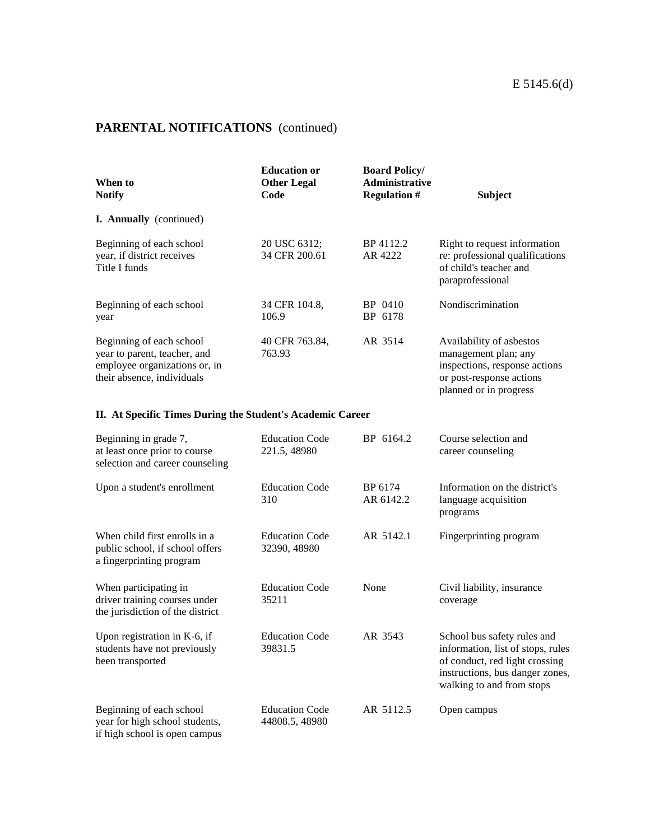| When to<br><b>Notify</b>                                                                                                | <b>Education or</b><br><b>Other Legal</b><br>Code | <b>Board Policy/</b><br><b>Administrative</b><br><b>Regulation #</b> | <b>Subject</b>                                                                                                                          |  |
|-------------------------------------------------------------------------------------------------------------------------|---------------------------------------------------|----------------------------------------------------------------------|-----------------------------------------------------------------------------------------------------------------------------------------|--|
| <b>I. Annually</b> (continued)                                                                                          |                                                   |                                                                      |                                                                                                                                         |  |
| Beginning of each school<br>year, if district receives<br>Title I funds                                                 | 20 USC 6312;<br>34 CFR 200.61                     | BP 4112.2<br>AR 4222                                                 | Right to request information<br>re: professional qualifications<br>of child's teacher and<br>paraprofessional                           |  |
| Beginning of each school<br>year                                                                                        | 34 CFR 104.8.<br>106.9                            | BP 0410<br>BP 6178                                                   | Nondiscrimination                                                                                                                       |  |
| Beginning of each school<br>year to parent, teacher, and<br>employee organizations or, in<br>their absence, individuals | 40 CFR 763.84,<br>763.93                          | AR 3514                                                              | Availability of asbestos<br>management plan; any<br>inspections, response actions<br>or post-response actions<br>planned or in progress |  |

#### **II. At Specific Times During the Student's Academic Career**

| Beginning in grade 7,<br>at least once prior to course<br>selection and career counseling    | <b>Education Code</b><br>221.5, 48980   | BP 6164.2            | Course selection and<br>career counseling                                                                                                                          |
|----------------------------------------------------------------------------------------------|-----------------------------------------|----------------------|--------------------------------------------------------------------------------------------------------------------------------------------------------------------|
| Upon a student's enrollment                                                                  | <b>Education Code</b><br>310            | BP 6174<br>AR 6142.2 | Information on the district's<br>language acquisition<br>programs                                                                                                  |
| When child first enrolls in a<br>public school, if school offers<br>a fingerprinting program | <b>Education Code</b><br>32390, 48980   | AR 5142.1            | Fingerprinting program                                                                                                                                             |
| When participating in<br>driver training courses under<br>the jurisdiction of the district   | <b>Education Code</b><br>35211          | None                 | Civil liability, insurance<br>coverage                                                                                                                             |
| Upon registration in K-6, if<br>students have not previously<br>been transported             | <b>Education Code</b><br>39831.5        | AR 3543              | School bus safety rules and<br>information, list of stops, rules<br>of conduct, red light crossing<br>instructions, bus danger zones,<br>walking to and from stops |
| Beginning of each school<br>year for high school students,<br>if high school is open campus  | <b>Education Code</b><br>44808.5, 48980 | AR 5112.5            | Open campus                                                                                                                                                        |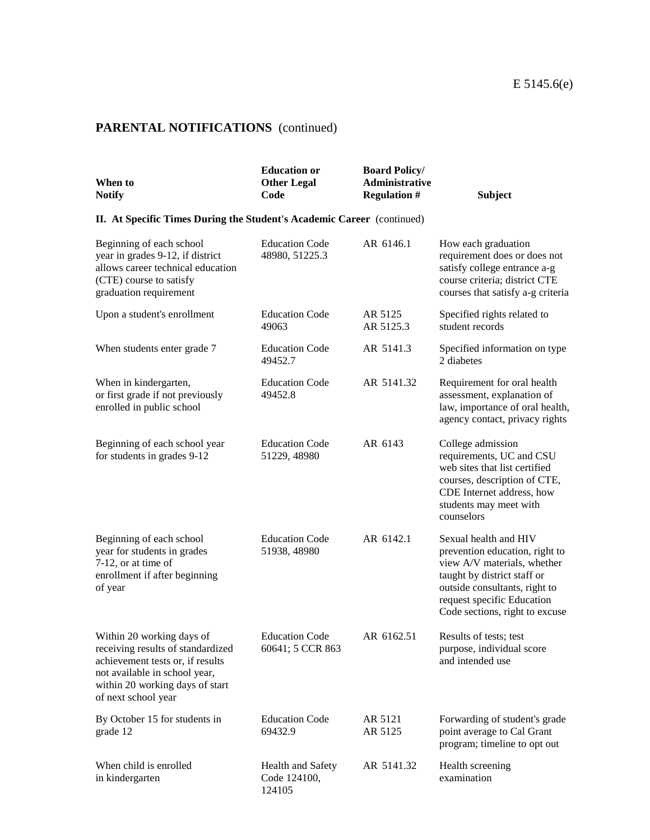| When to<br><b>Notify</b>                                                                                                                                                                      | <b>Education or</b><br><b>Other Legal</b><br>Code | <b>Board Policy/</b><br>Administrative<br><b>Regulation #</b> | <b>Subject</b>                                                                                                                                                                                                         |
|-----------------------------------------------------------------------------------------------------------------------------------------------------------------------------------------------|---------------------------------------------------|---------------------------------------------------------------|------------------------------------------------------------------------------------------------------------------------------------------------------------------------------------------------------------------------|
| II. At Specific Times During the Student's Academic Career (continued)                                                                                                                        |                                                   |                                                               |                                                                                                                                                                                                                        |
| Beginning of each school<br>year in grades 9-12, if district<br>allows career technical education<br>(CTE) course to satisfy<br>graduation requirement                                        | <b>Education Code</b><br>48980, 51225.3           | AR 6146.1                                                     | How each graduation<br>requirement does or does not<br>satisfy college entrance a-g<br>course criteria; district CTE<br>courses that satisfy a-g criteria                                                              |
| Upon a student's enrollment                                                                                                                                                                   | <b>Education Code</b><br>49063                    | AR 5125<br>AR 5125.3                                          | Specified rights related to<br>student records                                                                                                                                                                         |
| When students enter grade 7                                                                                                                                                                   | <b>Education Code</b><br>49452.7                  | AR 5141.3                                                     | Specified information on type<br>2 diabetes                                                                                                                                                                            |
| When in kindergarten,<br>or first grade if not previously<br>enrolled in public school                                                                                                        | <b>Education Code</b><br>49452.8                  | AR 5141.32                                                    | Requirement for oral health<br>assessment, explanation of<br>law, importance of oral health,<br>agency contact, privacy rights                                                                                         |
| Beginning of each school year<br>for students in grades 9-12                                                                                                                                  | <b>Education Code</b><br>51229, 48980             | AR 6143                                                       | College admission<br>requirements, UC and CSU<br>web sites that list certified<br>courses, description of CTE,<br>CDE Internet address, how<br>students may meet with<br>counselors                                    |
| Beginning of each school<br>year for students in grades<br>7-12, or at time of<br>enrollment if after beginning<br>of year                                                                    | <b>Education Code</b><br>51938, 48980             | AR 6142.1                                                     | Sexual health and HIV<br>prevention education, right to<br>view A/V materials, whether<br>taught by district staff or<br>outside consultants, right to<br>request specific Education<br>Code sections, right to excuse |
| Within 20 working days of<br>receiving results of standardized<br>achievement tests or, if results<br>not available in school year,<br>within 20 working days of start<br>of next school year | <b>Education Code</b><br>60641; 5 CCR 863         | AR 6162.51                                                    | Results of tests; test<br>purpose, individual score<br>and intended use                                                                                                                                                |
| By October 15 for students in<br>grade 12                                                                                                                                                     | <b>Education Code</b><br>69432.9                  | AR 5121<br>AR 5125                                            | Forwarding of student's grade<br>point average to Cal Grant<br>program; timeline to opt out                                                                                                                            |
| When child is enrolled<br>in kindergarten                                                                                                                                                     | Health and Safety<br>Code 124100,<br>124105       | AR 5141.32                                                    | Health screening<br>examination                                                                                                                                                                                        |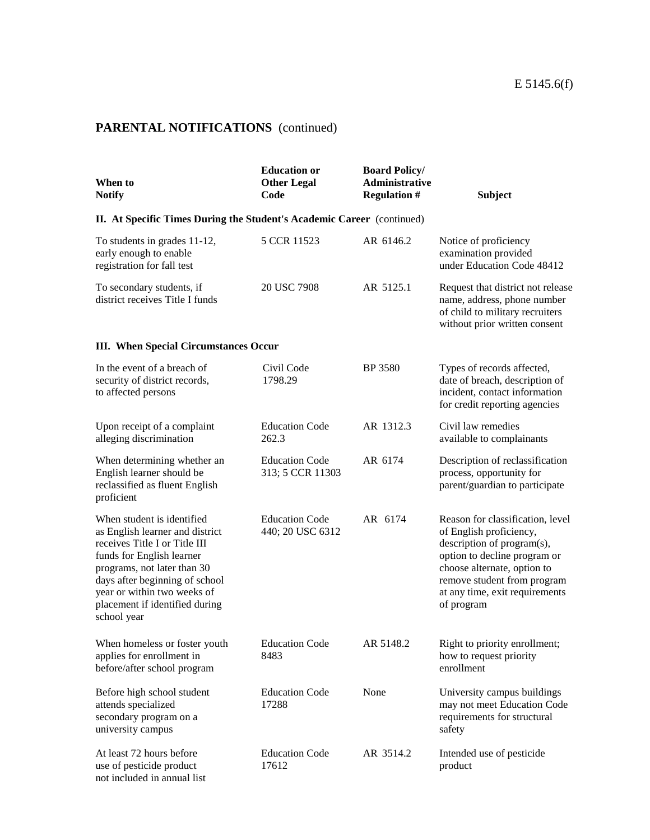| When to<br><b>Notify</b>                                                                                                                                                                                                                                                     | <b>Education or</b><br><b>Other Legal</b><br>Code | <b>Board Policy/</b><br><b>Administrative</b><br><b>Regulation #</b> | <b>Subject</b>                                                                                                                                                                                                                          |
|------------------------------------------------------------------------------------------------------------------------------------------------------------------------------------------------------------------------------------------------------------------------------|---------------------------------------------------|----------------------------------------------------------------------|-----------------------------------------------------------------------------------------------------------------------------------------------------------------------------------------------------------------------------------------|
| II. At Specific Times During the Student's Academic Career (continued)                                                                                                                                                                                                       |                                                   |                                                                      |                                                                                                                                                                                                                                         |
| To students in grades 11-12,<br>early enough to enable<br>registration for fall test                                                                                                                                                                                         | 5 CCR 11523                                       | AR 6146.2                                                            | Notice of proficiency<br>examination provided<br>under Education Code 48412                                                                                                                                                             |
| To secondary students, if<br>district receives Title I funds                                                                                                                                                                                                                 | 20 USC 7908                                       | AR 5125.1                                                            | Request that district not release<br>name, address, phone number<br>of child to military recruiters<br>without prior written consent                                                                                                    |
| <b>III.</b> When Special Circumstances Occur                                                                                                                                                                                                                                 |                                                   |                                                                      |                                                                                                                                                                                                                                         |
| In the event of a breach of<br>security of district records,<br>to affected persons                                                                                                                                                                                          | Civil Code<br>1798.29                             | <b>BP</b> 3580                                                       | Types of records affected,<br>date of breach, description of<br>incident, contact information<br>for credit reporting agencies                                                                                                          |
| Upon receipt of a complaint<br>alleging discrimination                                                                                                                                                                                                                       | <b>Education Code</b><br>262.3                    | AR 1312.3                                                            | Civil law remedies<br>available to complainants                                                                                                                                                                                         |
| When determining whether an<br>English learner should be<br>reclassified as fluent English<br>proficient                                                                                                                                                                     | <b>Education Code</b><br>313; 5 CCR 11303         | AR 6174                                                              | Description of reclassification<br>process, opportunity for<br>parent/guardian to participate                                                                                                                                           |
| When student is identified<br>as English learner and district<br>receives Title I or Title III<br>funds for English learner<br>programs, not later than 30<br>days after beginning of school<br>year or within two weeks of<br>placement if identified during<br>school year | <b>Education Code</b><br>440; 20 USC 6312         | AR 6174                                                              | Reason for classification, level<br>of English proficiency,<br>description of program(s),<br>option to decline program or<br>choose alternate, option to<br>remove student from program<br>at any time, exit requirements<br>of program |
| When homeless or foster youth<br>applies for enrollment in<br>before/after school program                                                                                                                                                                                    | <b>Education Code</b><br>8483                     | AR 5148.2                                                            | Right to priority enrollment;<br>how to request priority<br>enrollment                                                                                                                                                                  |
| Before high school student<br>attends specialized<br>secondary program on a<br>university campus                                                                                                                                                                             | <b>Education Code</b><br>17288                    | None                                                                 | University campus buildings<br>may not meet Education Code<br>requirements for structural<br>safety                                                                                                                                     |
| At least 72 hours before<br>use of pesticide product<br>not included in annual list                                                                                                                                                                                          | <b>Education Code</b><br>17612                    | AR 3514.2                                                            | Intended use of pesticide<br>product                                                                                                                                                                                                    |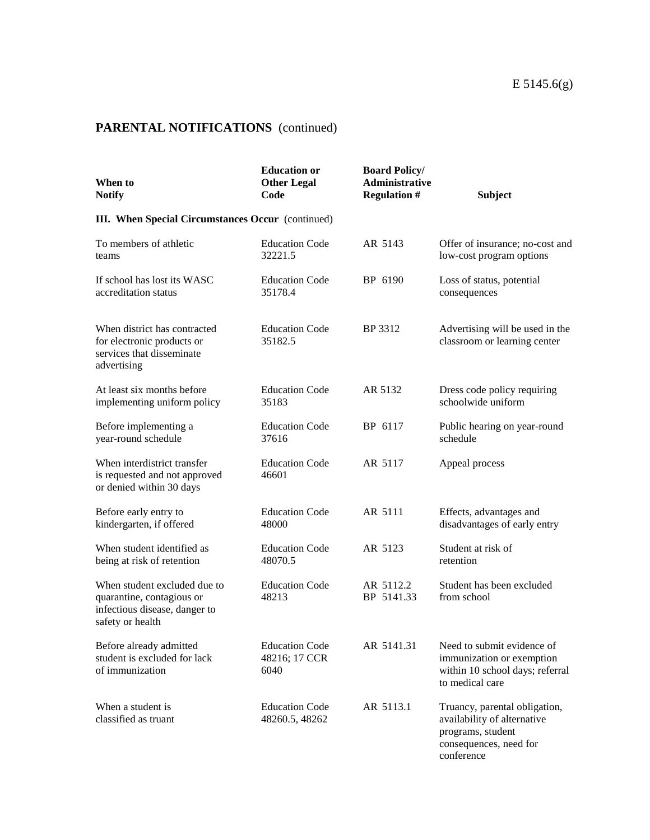| When to<br><b>Notify</b>                                                                                       | <b>Education or</b><br><b>Other Legal</b><br>Code | <b>Board Policy/</b><br><b>Administrative</b><br><b>Regulation #</b> | <b>Subject</b>                                                                                                            |
|----------------------------------------------------------------------------------------------------------------|---------------------------------------------------|----------------------------------------------------------------------|---------------------------------------------------------------------------------------------------------------------------|
| <b>III.</b> When Special Circumstances Occur (continued)                                                       |                                                   |                                                                      |                                                                                                                           |
| To members of athletic<br>teams                                                                                | <b>Education Code</b><br>32221.5                  | AR 5143                                                              | Offer of insurance; no-cost and<br>low-cost program options                                                               |
| If school has lost its WASC<br>accreditation status                                                            | <b>Education Code</b><br>35178.4                  | BP 6190                                                              | Loss of status, potential<br>consequences                                                                                 |
| When district has contracted<br>for electronic products or<br>services that disseminate<br>advertising         | <b>Education Code</b><br>35182.5                  | BP 3312                                                              | Advertising will be used in the<br>classroom or learning center                                                           |
| At least six months before<br>implementing uniform policy                                                      | <b>Education Code</b><br>35183                    | AR 5132                                                              | Dress code policy requiring<br>schoolwide uniform                                                                         |
| Before implementing a<br>year-round schedule                                                                   | <b>Education Code</b><br>37616                    | BP 6117                                                              | Public hearing on year-round<br>schedule                                                                                  |
| When interdistrict transfer<br>is requested and not approved<br>or denied within 30 days                       | <b>Education Code</b><br>46601                    | AR 5117                                                              | Appeal process                                                                                                            |
| Before early entry to<br>kindergarten, if offered                                                              | <b>Education Code</b><br>48000                    | AR 5111                                                              | Effects, advantages and<br>disadvantages of early entry                                                                   |
| When student identified as<br>being at risk of retention                                                       | <b>Education Code</b><br>48070.5                  | AR 5123                                                              | Student at risk of<br>retention                                                                                           |
| When student excluded due to<br>quarantine, contagious or<br>infectious disease, danger to<br>safety or health | <b>Education Code</b><br>48213                    | AR 5112.2<br>BP 5141.33                                              | Student has been excluded<br>from school                                                                                  |
| Before already admitted<br>student is excluded for lack<br>of immunization                                     | <b>Education Code</b><br>48216; 17 CCR<br>6040    | AR 5141.31                                                           | Need to submit evidence of<br>immunization or exemption<br>within 10 school days; referral<br>to medical care             |
| When a student is<br>classified as truant                                                                      | <b>Education Code</b><br>48260.5, 48262           | AR 5113.1                                                            | Truancy, parental obligation,<br>availability of alternative<br>programs, student<br>consequences, need for<br>conference |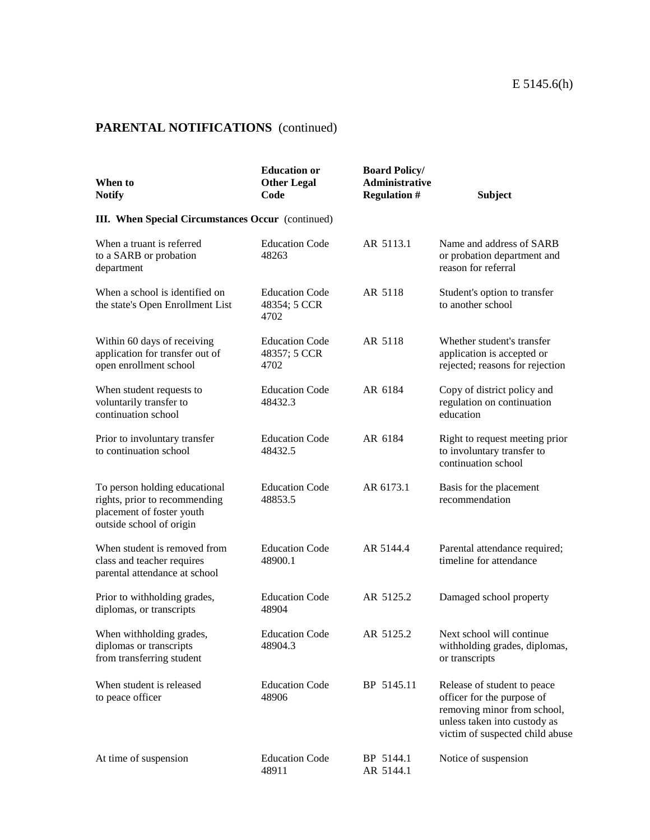| When to<br><b>Notify</b>                                                                                                | <b>Education or</b><br><b>Other Legal</b><br>Code | <b>Board Policy/</b><br><b>Administrative</b><br><b>Regulation #</b> | <b>Subject</b>                                                                                                                                              |
|-------------------------------------------------------------------------------------------------------------------------|---------------------------------------------------|----------------------------------------------------------------------|-------------------------------------------------------------------------------------------------------------------------------------------------------------|
| <b>III. When Special Circumstances Occur</b> (continued)                                                                |                                                   |                                                                      |                                                                                                                                                             |
| When a truant is referred<br>to a SARB or probation<br>department                                                       | <b>Education Code</b><br>48263                    | AR 5113.1                                                            | Name and address of SARB<br>or probation department and<br>reason for referral                                                                              |
| When a school is identified on<br>the state's Open Enrollment List                                                      | <b>Education Code</b><br>48354; 5 CCR<br>4702     | AR 5118                                                              | Student's option to transfer<br>to another school                                                                                                           |
| Within 60 days of receiving<br>application for transfer out of<br>open enrollment school                                | <b>Education Code</b><br>48357; 5 CCR<br>4702     | AR 5118                                                              | Whether student's transfer<br>application is accepted or<br>rejected; reasons for rejection                                                                 |
| When student requests to<br>voluntarily transfer to<br>continuation school                                              | <b>Education Code</b><br>48432.3                  | AR 6184                                                              | Copy of district policy and<br>regulation on continuation<br>education                                                                                      |
| Prior to involuntary transfer<br>to continuation school                                                                 | <b>Education Code</b><br>48432.5                  | AR 6184                                                              | Right to request meeting prior<br>to involuntary transfer to<br>continuation school                                                                         |
| To person holding educational<br>rights, prior to recommending<br>placement of foster youth<br>outside school of origin | <b>Education Code</b><br>48853.5                  | AR 6173.1                                                            | Basis for the placement<br>recommendation                                                                                                                   |
| When student is removed from<br>class and teacher requires<br>parental attendance at school                             | <b>Education Code</b><br>48900.1                  | AR 5144.4                                                            | Parental attendance required;<br>timeline for attendance                                                                                                    |
| Prior to withholding grades,<br>diplomas, or transcripts                                                                | <b>Education Code</b><br>48904                    | AR 5125.2                                                            | Damaged school property                                                                                                                                     |
| When withholding grades,<br>diplomas or transcripts<br>from transferring student                                        | <b>Education Code</b><br>48904.3                  | AR 5125.2                                                            | Next school will continue<br>withholding grades, diplomas,<br>or transcripts                                                                                |
| When student is released<br>to peace officer                                                                            | <b>Education Code</b><br>48906                    | BP 5145.11                                                           | Release of student to peace<br>officer for the purpose of<br>removing minor from school,<br>unless taken into custody as<br>victim of suspected child abuse |
| At time of suspension                                                                                                   | <b>Education Code</b><br>48911                    | BP 5144.1<br>AR 5144.1                                               | Notice of suspension                                                                                                                                        |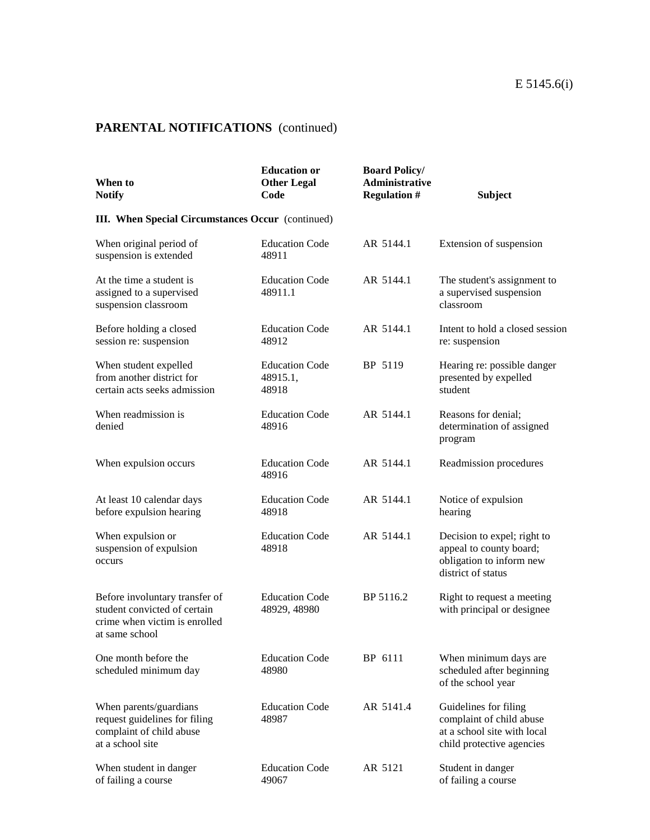| When to<br><b>Notify</b>                                                                                          | <b>Education or</b><br><b>Other Legal</b><br>Code | <b>Board Policy/</b><br><b>Administrative</b><br><b>Regulation #</b> | <b>Subject</b>                                                                                                |
|-------------------------------------------------------------------------------------------------------------------|---------------------------------------------------|----------------------------------------------------------------------|---------------------------------------------------------------------------------------------------------------|
| <b>III.</b> When Special Circumstances Occur (continued)                                                          |                                                   |                                                                      |                                                                                                               |
| When original period of<br>suspension is extended                                                                 | <b>Education Code</b><br>48911                    | AR 5144.1                                                            | Extension of suspension                                                                                       |
| At the time a student is<br>assigned to a supervised<br>suspension classroom                                      | <b>Education Code</b><br>48911.1                  | AR 5144.1                                                            | The student's assignment to<br>a supervised suspension<br>classroom                                           |
| Before holding a closed<br>session re: suspension                                                                 | <b>Education Code</b><br>48912                    | AR 5144.1                                                            | Intent to hold a closed session<br>re: suspension                                                             |
| When student expelled<br>from another district for<br>certain acts seeks admission                                | <b>Education Code</b><br>48915.1,<br>48918        | BP 5119                                                              | Hearing re: possible danger<br>presented by expelled<br>student                                               |
| When readmission is<br>denied                                                                                     | <b>Education Code</b><br>48916                    | AR 5144.1                                                            | Reasons for denial;<br>determination of assigned<br>program                                                   |
| When expulsion occurs                                                                                             | <b>Education Code</b><br>48916                    | AR 5144.1                                                            | Readmission procedures                                                                                        |
| At least 10 calendar days<br>before expulsion hearing                                                             | <b>Education Code</b><br>48918                    | AR 5144.1                                                            | Notice of expulsion<br>hearing                                                                                |
| When expulsion or<br>suspension of expulsion<br>occurs                                                            | <b>Education Code</b><br>48918                    | AR 5144.1                                                            | Decision to expel; right to<br>appeal to county board;<br>obligation to inform new<br>district of status      |
| Before involuntary transfer of<br>student convicted of certain<br>crime when victim is enrolled<br>at same school | <b>Education Code</b><br>48929, 48980             | BP 5116.2                                                            | Right to request a meeting<br>with principal or designee                                                      |
| One month before the<br>scheduled minimum day                                                                     | <b>Education Code</b><br>48980                    | BP 6111                                                              | When minimum days are<br>scheduled after beginning<br>of the school year                                      |
| When parents/guardians<br>request guidelines for filing<br>complaint of child abuse<br>at a school site           | <b>Education Code</b><br>48987                    | AR 5141.4                                                            | Guidelines for filing<br>complaint of child abuse<br>at a school site with local<br>child protective agencies |
| When student in danger<br>of failing a course                                                                     | <b>Education Code</b><br>49067                    | AR 5121                                                              | Student in danger<br>of failing a course                                                                      |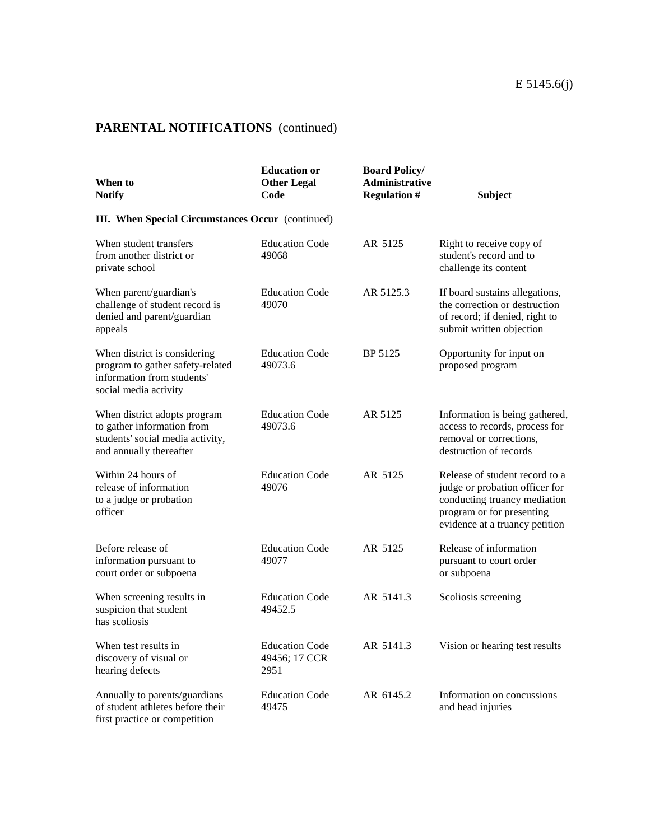| When to<br><b>Notify</b>                                                                                                  | <b>Education or</b><br><b>Other Legal</b><br>Code | <b>Board Policy/</b><br><b>Administrative</b><br><b>Regulation #</b> | <b>Subject</b>                                                                                                                                                  |
|---------------------------------------------------------------------------------------------------------------------------|---------------------------------------------------|----------------------------------------------------------------------|-----------------------------------------------------------------------------------------------------------------------------------------------------------------|
| <b>III.</b> When Special Circumstances Occur (continued)                                                                  |                                                   |                                                                      |                                                                                                                                                                 |
| When student transfers<br>from another district or<br>private school                                                      | <b>Education Code</b><br>49068                    | AR 5125                                                              | Right to receive copy of<br>student's record and to<br>challenge its content                                                                                    |
| When parent/guardian's<br>challenge of student record is<br>denied and parent/guardian<br>appeals                         | <b>Education Code</b><br>49070                    | AR 5125.3                                                            | If board sustains allegations,<br>the correction or destruction<br>of record; if denied, right to<br>submit written objection                                   |
| When district is considering<br>program to gather safety-related<br>information from students'<br>social media activity   | <b>Education Code</b><br>49073.6                  | BP 5125                                                              | Opportunity for input on<br>proposed program                                                                                                                    |
| When district adopts program<br>to gather information from<br>students' social media activity,<br>and annually thereafter | <b>Education Code</b><br>49073.6                  | AR 5125                                                              | Information is being gathered,<br>access to records, process for<br>removal or corrections,<br>destruction of records                                           |
| Within 24 hours of<br>release of information<br>to a judge or probation<br>officer                                        | <b>Education Code</b><br>49076                    | AR 5125                                                              | Release of student record to a<br>judge or probation officer for<br>conducting truancy mediation<br>program or for presenting<br>evidence at a truancy petition |
| Before release of<br>information pursuant to<br>court order or subpoena                                                   | <b>Education Code</b><br>49077                    | AR 5125                                                              | Release of information<br>pursuant to court order<br>or subpoena                                                                                                |
| When screening results in<br>suspicion that student<br>has scoliosis                                                      | <b>Education Code</b><br>49452.5                  | AR 5141.3                                                            | Scoliosis screening                                                                                                                                             |
| When test results in<br>discovery of visual or<br>hearing defects                                                         | <b>Education Code</b><br>49456; 17 CCR<br>2951    | AR 5141.3                                                            | Vision or hearing test results                                                                                                                                  |
| Annually to parents/guardians<br>of student athletes before their<br>first practice or competition                        | <b>Education Code</b><br>49475                    | AR 6145.2                                                            | Information on concussions<br>and head injuries                                                                                                                 |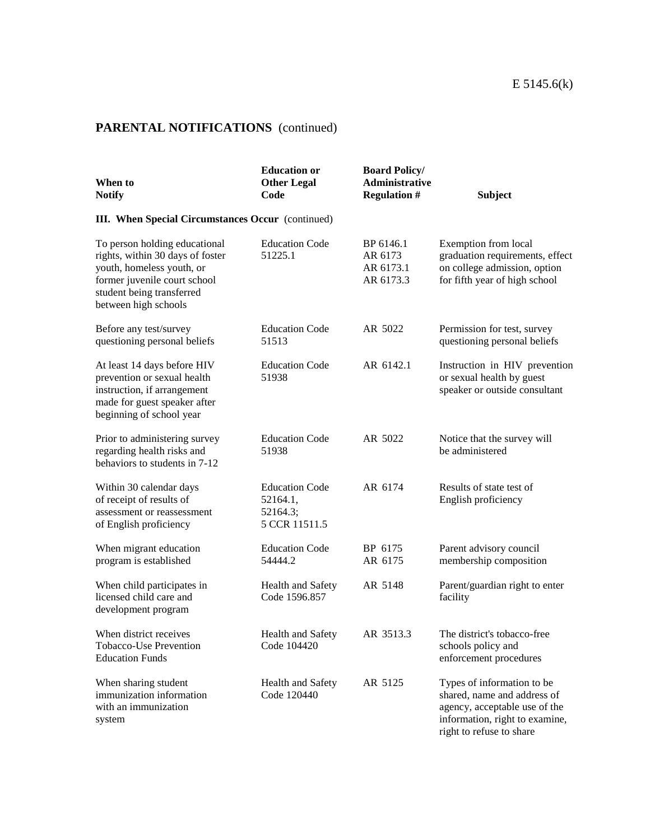| When to<br><b>Notify</b>                                                                                                                                                            | <b>Education or</b><br><b>Other Legal</b><br>Code              | <b>Board Policy/</b><br>Administrative<br><b>Regulation #</b> | <b>Subject</b>                                                                                                                                           |  |  |  |
|-------------------------------------------------------------------------------------------------------------------------------------------------------------------------------------|----------------------------------------------------------------|---------------------------------------------------------------|----------------------------------------------------------------------------------------------------------------------------------------------------------|--|--|--|
| <b>III.</b> When Special Circumstances Occur (continued)                                                                                                                            |                                                                |                                                               |                                                                                                                                                          |  |  |  |
| To person holding educational<br>rights, within 30 days of foster<br>youth, homeless youth, or<br>former juvenile court school<br>student being transferred<br>between high schools | <b>Education Code</b><br>51225.1                               | BP 6146.1<br>AR 6173<br>AR 6173.1<br>AR 6173.3                | Exemption from local<br>graduation requirements, effect<br>on college admission, option<br>for fifth year of high school                                 |  |  |  |
| Before any test/survey<br>questioning personal beliefs                                                                                                                              | <b>Education Code</b><br>51513                                 | AR 5022                                                       | Permission for test, survey<br>questioning personal beliefs                                                                                              |  |  |  |
| At least 14 days before HIV<br>prevention or sexual health<br>instruction, if arrangement<br>made for guest speaker after<br>beginning of school year                               | <b>Education Code</b><br>51938                                 | AR 6142.1                                                     | Instruction in HIV prevention<br>or sexual health by guest<br>speaker or outside consultant                                                              |  |  |  |
| Prior to administering survey<br>regarding health risks and<br>behaviors to students in 7-12                                                                                        | <b>Education Code</b><br>51938                                 | AR 5022                                                       | Notice that the survey will<br>be administered                                                                                                           |  |  |  |
| Within 30 calendar days<br>of receipt of results of<br>assessment or reassessment<br>of English proficiency                                                                         | <b>Education Code</b><br>52164.1,<br>52164.3;<br>5 CCR 11511.5 | AR 6174                                                       | Results of state test of<br>English proficiency                                                                                                          |  |  |  |
| When migrant education<br>program is established                                                                                                                                    | <b>Education Code</b><br>54444.2                               | BP 6175<br>AR 6175                                            | Parent advisory council<br>membership composition                                                                                                        |  |  |  |
| When child participates in<br>licensed child care and<br>development program                                                                                                        | Health and Safety<br>Code 1596.857                             | AR 5148                                                       | Parent/guardian right to enter<br>facility                                                                                                               |  |  |  |
| When district receives<br>Tobacco-Use Prevention<br><b>Education Funds</b>                                                                                                          | Health and Safety<br>Code 104420                               | AR 3513.3                                                     | The district's tobacco-free<br>schools policy and<br>enforcement procedures                                                                              |  |  |  |
| When sharing student<br>immunization information<br>with an immunization<br>system                                                                                                  | Health and Safety<br>Code 120440                               | AR 5125                                                       | Types of information to be<br>shared, name and address of<br>agency, acceptable use of the<br>information, right to examine,<br>right to refuse to share |  |  |  |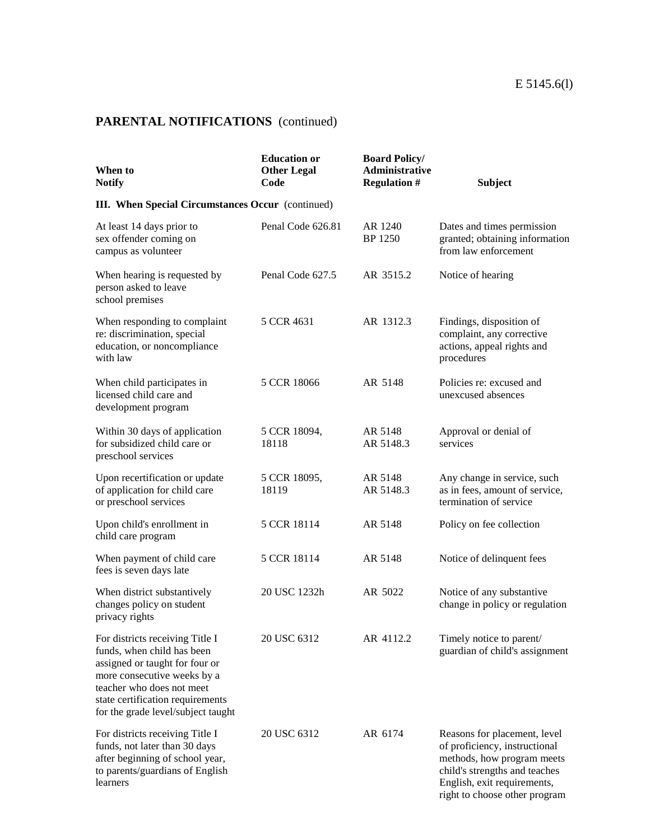| When to<br><b>Notify</b>                                                                                                                                                                                                              | <b>Education or</b><br><b>Other Legal</b><br>Code | <b>Board Policy/</b><br><b>Administrative</b><br><b>Regulation #</b> | <b>Subject</b>                                                                                                                                                                               |  |  |
|---------------------------------------------------------------------------------------------------------------------------------------------------------------------------------------------------------------------------------------|---------------------------------------------------|----------------------------------------------------------------------|----------------------------------------------------------------------------------------------------------------------------------------------------------------------------------------------|--|--|
| III. When Special Circumstances Occur (continued)                                                                                                                                                                                     |                                                   |                                                                      |                                                                                                                                                                                              |  |  |
| At least 14 days prior to<br>sex offender coming on<br>campus as volunteer                                                                                                                                                            | Penal Code 626.81                                 | AR 1240<br><b>BP</b> 1250                                            | Dates and times permission<br>granted; obtaining information<br>from law enforcement                                                                                                         |  |  |
| When hearing is requested by<br>person asked to leave<br>school premises                                                                                                                                                              | Penal Code 627.5                                  | AR 3515.2                                                            | Notice of hearing                                                                                                                                                                            |  |  |
| When responding to complaint<br>re: discrimination, special<br>education, or noncompliance<br>with law                                                                                                                                | 5 CCR 4631                                        | AR 1312.3                                                            | Findings, disposition of<br>complaint, any corrective<br>actions, appeal rights and<br>procedures                                                                                            |  |  |
| When child participates in<br>licensed child care and<br>development program                                                                                                                                                          | 5 CCR 18066                                       | AR 5148                                                              | Policies re: excused and<br>unexcused absences                                                                                                                                               |  |  |
| Within 30 days of application<br>for subsidized child care or<br>preschool services                                                                                                                                                   | 5 CCR 18094,<br>18118                             | AR 5148<br>AR 5148.3                                                 | Approval or denial of<br>services                                                                                                                                                            |  |  |
| Upon recertification or update<br>of application for child care<br>or preschool services                                                                                                                                              | 5 CCR 18095,<br>18119                             | AR 5148<br>AR 5148.3                                                 | Any change in service, such<br>as in fees, amount of service,<br>termination of service                                                                                                      |  |  |
| Upon child's enrollment in<br>child care program                                                                                                                                                                                      | 5 CCR 18114                                       | AR 5148                                                              | Policy on fee collection                                                                                                                                                                     |  |  |
| When payment of child care<br>fees is seven days late                                                                                                                                                                                 | 5 CCR 18114                                       | AR 5148                                                              | Notice of delinquent fees                                                                                                                                                                    |  |  |
| When district substantively<br>changes policy on student<br>privacy rights                                                                                                                                                            | 20 USC 1232h                                      | AR 5022                                                              | Notice of any substantive<br>change in policy or regulation                                                                                                                                  |  |  |
| For districts receiving Title I<br>funds, when child has been<br>assigned or taught for four or<br>more consecutive weeks by a<br>teacher who does not meet<br>state certification requirements<br>for the grade level/subject taught | 20 USC 6312                                       | AR 4112.2                                                            | Timely notice to parent/<br>guardian of child's assignment                                                                                                                                   |  |  |
| For districts receiving Title I<br>funds, not later than 30 days<br>after beginning of school year,<br>to parents/guardians of English<br>learners                                                                                    | 20 USC 6312                                       | AR 6174                                                              | Reasons for placement, level<br>of proficiency, instructional<br>methods, how program meets<br>child's strengths and teaches<br>English, exit requirements,<br>right to choose other program |  |  |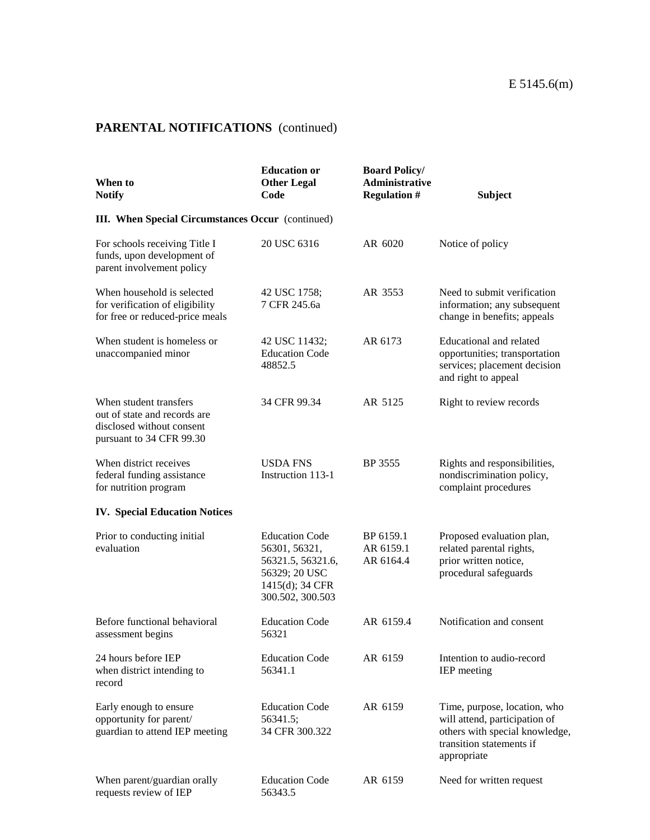| When to<br><b>Notify</b>                                                                                        | <b>Education or</b><br><b>Other Legal</b><br>Code                                                                   | <b>Board Policy/</b><br><b>Administrative</b><br><b>Regulation #</b> | <b>Subject</b>                                                                                                                             |
|-----------------------------------------------------------------------------------------------------------------|---------------------------------------------------------------------------------------------------------------------|----------------------------------------------------------------------|--------------------------------------------------------------------------------------------------------------------------------------------|
| <b>III.</b> When Special Circumstances Occur (continued)                                                        |                                                                                                                     |                                                                      |                                                                                                                                            |
| For schools receiving Title I<br>funds, upon development of<br>parent involvement policy                        | 20 USC 6316                                                                                                         | AR 6020                                                              | Notice of policy                                                                                                                           |
| When household is selected<br>for verification of eligibility<br>for free or reduced-price meals                | 42 USC 1758;<br>7 CFR 245.6a                                                                                        | AR 3553                                                              | Need to submit verification<br>information; any subsequent<br>change in benefits; appeals                                                  |
| When student is homeless or<br>unaccompanied minor                                                              | 42 USC 11432;<br><b>Education Code</b><br>48852.5                                                                   | AR 6173                                                              | Educational and related<br>opportunities; transportation<br>services; placement decision<br>and right to appeal                            |
| When student transfers<br>out of state and records are<br>disclosed without consent<br>pursuant to 34 CFR 99.30 | 34 CFR 99.34                                                                                                        | AR 5125                                                              | Right to review records                                                                                                                    |
| When district receives<br>federal funding assistance<br>for nutrition program                                   | <b>USDA FNS</b><br>Instruction 113-1                                                                                | BP 3555                                                              | Rights and responsibilities,<br>nondiscrimination policy,<br>complaint procedures                                                          |
| <b>IV. Special Education Notices</b>                                                                            |                                                                                                                     |                                                                      |                                                                                                                                            |
| Prior to conducting initial<br>evaluation                                                                       | <b>Education Code</b><br>56301, 56321,<br>56321.5, 56321.6,<br>56329; 20 USC<br>1415(d); 34 CFR<br>300.502, 300.503 | BP 6159.1<br>AR 6159.1<br>AR 6164.4                                  | Proposed evaluation plan,<br>related parental rights,<br>prior written notice,<br>procedural safeguards                                    |
| Before functional behavioral<br>assessment begins                                                               | <b>Education Code</b><br>56321                                                                                      | AR 6159.4                                                            | Notification and consent                                                                                                                   |
| 24 hours before IEP<br>when district intending to<br>record                                                     | <b>Education Code</b><br>56341.1                                                                                    | AR 6159                                                              | Intention to audio-record<br>IEP meeting                                                                                                   |
| Early enough to ensure<br>opportunity for parent/<br>guardian to attend IEP meeting                             | <b>Education Code</b><br>56341.5;<br>34 CFR 300.322                                                                 | AR 6159                                                              | Time, purpose, location, who<br>will attend, participation of<br>others with special knowledge,<br>transition statements if<br>appropriate |
| When parent/guardian orally<br>requests review of IEP                                                           | <b>Education Code</b><br>56343.5                                                                                    | AR 6159                                                              | Need for written request                                                                                                                   |